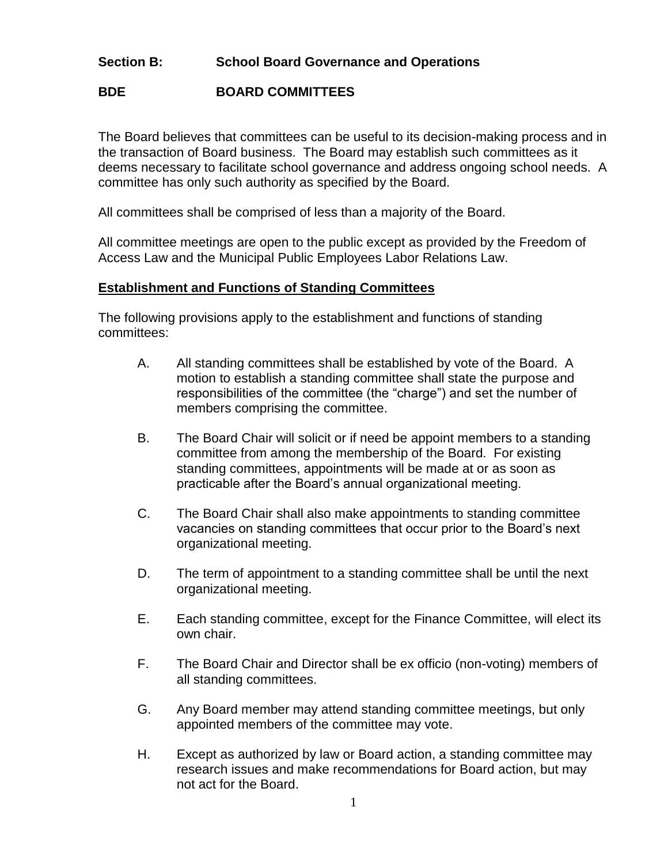## **Section B: School Board Governance and Operations**

# **BDE BOARD COMMITTEES**

The Board believes that committees can be useful to its decision-making process and in the transaction of Board business. The Board may establish such committees as it deems necessary to facilitate school governance and address ongoing school needs. A committee has only such authority as specified by the Board.

All committees shall be comprised of less than a majority of the Board.

All committee meetings are open to the public except as provided by the Freedom of Access Law and the Municipal Public Employees Labor Relations Law.

#### **Establishment and Functions of Standing Committees**

The following provisions apply to the establishment and functions of standing committees:

- A. All standing committees shall be established by vote of the Board. A motion to establish a standing committee shall state the purpose and responsibilities of the committee (the "charge") and set the number of members comprising the committee.
- B. The Board Chair will solicit or if need be appoint members to a standing committee from among the membership of the Board. For existing standing committees, appointments will be made at or as soon as practicable after the Board's annual organizational meeting.
- C. The Board Chair shall also make appointments to standing committee vacancies on standing committees that occur prior to the Board's next organizational meeting.
- D. The term of appointment to a standing committee shall be until the next organizational meeting.
- E. Each standing committee, except for the Finance Committee, will elect its own chair.
- F. The Board Chair and Director shall be ex officio (non-voting) members of all standing committees.
- G. Any Board member may attend standing committee meetings, but only appointed members of the committee may vote.
- H. Except as authorized by law or Board action, a standing committee may research issues and make recommendations for Board action, but may not act for the Board.